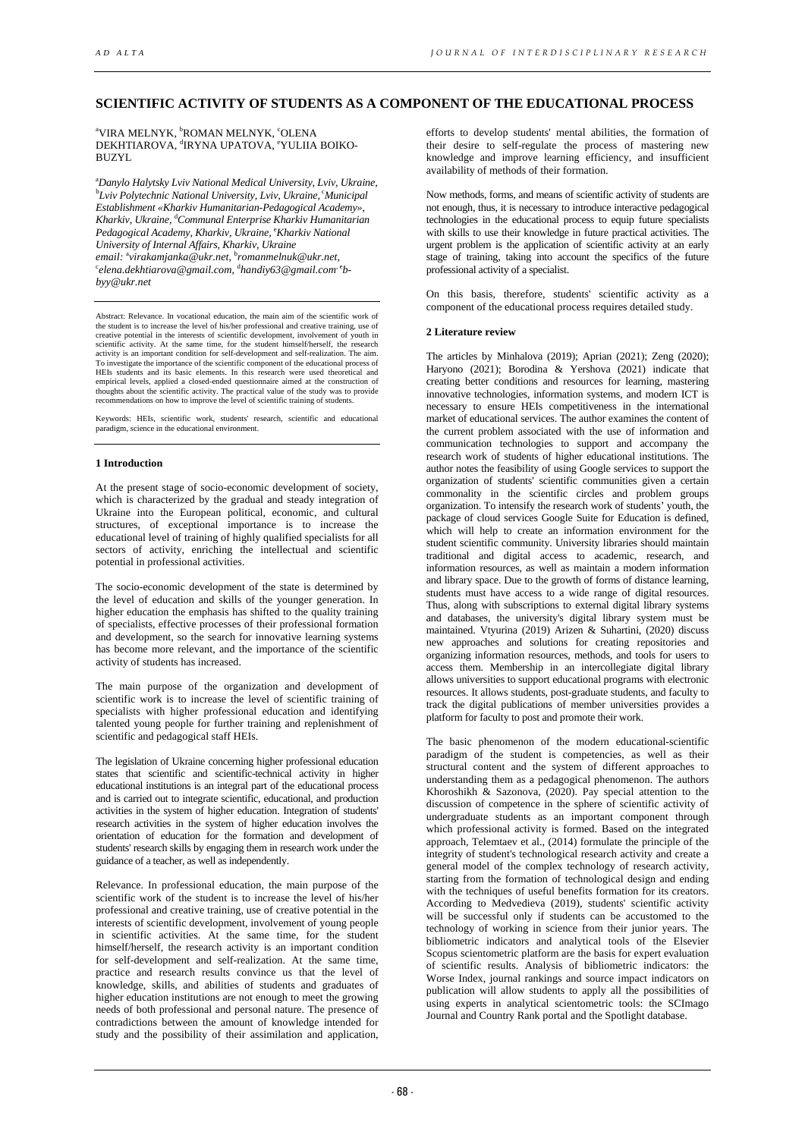# **SCIENTIFIC ACTIVITY OF STUDENTS AS A COMPONENT OF THE EDUCATIONAL PROCESS**

<sup>a</sup>VIRA MELNYK, <sup>b</sup>ROMAN MELNYK, <sup>c</sup>OLENA DEKHTIAROVA, <sup>d</sup>IRYNA UPATOVA, <sup>e</sup>YULIIA BOIKO-**BUZYL** 

a *Danylo Halytsky Lviv National Medical University, Lviv, Ukraine,* <sup>b</sup>Lviv Polytechnic National University, Lviv, Ukraine, <sup>c</sup>Municipal *Establishment «Kharkiv Humanitarian-Pedagogical Academy», Kharkiv, Ukraine,* <sup>d</sup> *Communal Enterprise Kharkiv Humanitarian Pedagogical Academy, Kharkiv, Ukraine,* <sup>e</sup> *Kharkiv National email:*  a *virakamjanka@ukr.net,* <sup>b</sup> *romanmelnuk@ukr.net, University of Internal Affairs, Kharkiv, Ukraine* <sup>c</sup>elena.dekhtiarova@gmail.com, <sup>d</sup>handiy63@gmail.com`<sup>e</sup>b*byy@ukr.net* 

Abstract: Relevance. In vocational education, the main aim of the scientific work of the student is to increase the level of his/her professional and creative training, use of creative potential in the interests of scientific development, involvement of youth in scientific activity. At the same time, for the student himself/herself, the research activity is an important condition for self-development and self-realization. The aim. To investigate the importance of the scientific component of the educational process of HEIs students and its basic elements. In this research were used theoretical and empirical levels, applied a closed-ended questionnaire aimed at the construction of thoughts about the scientific activity. The practical value of the study was to provide nmendations on how to improve the level of scientific training of students.

Keywords: HEIs, scientific work, students' research, scientific and educational paradigm, science in the educational environment.

# **1 Introduction**

At the present stage of socio-economic development of society, which is characterized by the gradual and steady integration of Ukraine into the European political, economic, and cultural structures, of exceptional importance is to increase the educational level of training of highly qualified specialists for all sectors of activity, enriching the intellectual and scientific potential in professional activities.

The socio-economic development of the state is determined by the level of education and skills of the younger generation. In higher education the emphasis has shifted to the quality training of specialists, effective processes of their professional formation and development, so the search for innovative learning systems has become more relevant, and the importance of the scientific activity of students has increased.

The main purpose of the organization and development of scientific work is to increase the level of scientific training of specialists with higher professional education and identifying talented young people for further training and replenishment of scientific and pedagogical staff HEIs.

The legislation of Ukraine concerning higher professional education states that scientific and scientific-technical activity in higher educational institutions is an integral part of the educational process and is carried out to integrate scientific, educational, and production activities in the system of higher education. Integration of students' research activities in the system of higher education involves the orientation of education for the formation and development of students' research skills by engaging them in research work under the guidance of a teacher, as well as independently.

Relevance. In professional education, the main purpose of the scientific work of the student is to increase the level of his/her professional and creative training, use of creative potential in the interests of scientific development, involvement of young people in scientific activities. At the same time, for the student himself/herself, the research activity is an important condition for self-development and self-realization. At the same time, practice and research results convince us that the level of knowledge, skills, and abilities of students and graduates of higher education institutions are not enough to meet the growing needs of both professional and personal nature. The presence of contradictions between the amount of knowledge intended for study and the possibility of their assimilation and application,

efforts to develop students' mental abilities, the formation of their desire to self-regulate the process of mastering new knowledge and improve learning efficiency, and insufficient availability of methods of their formation.

Now methods, forms, and means of scientific activity of students are not enough, thus, it is necessary to introduce interactive pedagogical technologies in the educational process to equip future specialists with skills to use their knowledge in future practical activities. The urgent problem is the application of scientific activity at an early stage of training, taking into account the specifics of the future professional activity of a specialist.

On this basis, therefore, students' scientific activity as a component of the educational process requires detailed study.

### **2 Literature review**

The articles by Minhalova (2019); Aprian (2021); Zeng (2020); Haryono (2021); Borodina & Yershova (2021) indicate that creating better conditions and resources for learning, mastering innovative technologies, information systems, and modern ICT is necessary to ensure HEIs competitiveness in the international market of educational services. The author examines the content of the current problem associated with the use of information and communication technologies to support and accompany the research work of students of higher educational institutions. The author notes the feasibility of using Google services to support the organization of students' scientific communities given a certain commonality in the scientific circles and problem groups organization. To intensify the research work of students' youth, the package of cloud services Google Suite for Education is defined, which will help to create an information environment for the student scientific community. University libraries should maintain traditional and digital access to academic, research, and information resources, as well as maintain a modern information and library space. Due to the growth of forms of distance learning, students must have access to a wide range of digital resources. Thus, along with subscriptions to external digital library systems and databases, the university's digital library system must be maintained. Vtyurina (2019) Arizen & Suhartini, (2020) discuss new approaches and solutions for creating repositories and organizing information resources, methods, and tools for users to access them. Membership in an intercollegiate digital library allows universities to support educational programs with electronic resources. It allows students, post-graduate students, and faculty to track the digital publications of member universities provides a platform for faculty to post and promote their work.

The basic phenomenon of the modern educational-scientific paradigm of the student is competencies, as well as their structural content and the system of different approaches to understanding them as a pedagogical phenomenon. The authors Khoroshikh & Sazonova, (2020). Pay special attention to the discussion of competence in the sphere of scientific activity of undergraduate students as an important component through which professional activity is formed. Based on the integrated approach, Telemtaev et al., (2014) formulate the principle of the integrity of student's technological research activity and create a general model of the complex technology of research activity, starting from the formation of technological design and ending with the techniques of useful benefits formation for its creators. According to Medvedieva (2019), students' scientific activity will be successful only if students can be accustomed to the technology of working in science from their junior years. The bibliometric indicators and analytical tools of the Elsevier Scopus scientometric platform are the basis for expert evaluation of scientific results. Analysis of bibliometric indicators: the Worse Index, journal rankings and source impact indicators on publication will allow students to apply all the possibilities of using experts in analytical scientometric tools: the SCImago Journal and Country Rank portal and the Spotlight database.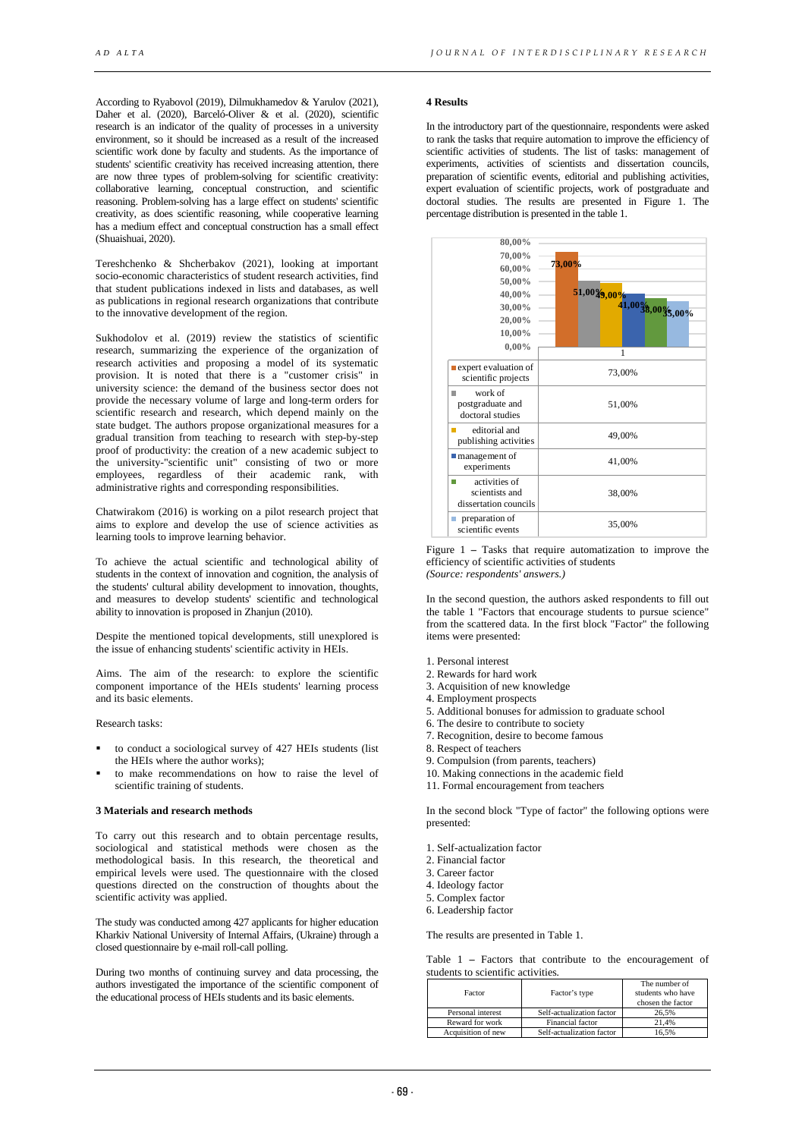According to Ryabovol (2019), Dilmukhamedov & Yarulov (2021), Daher et al. (2020), Barceló-Oliver & et al. (2020), scientific research is an indicator of the quality of processes in a university environment, so it should be increased as a result of the increased scientific work done by faculty and students. As the importance of students' scientific creativity has received increasing attention, there are now three types of problem-solving for scientific creativity: collaborative learning, conceptual construction, and scientific reasoning. Problem-solving has a large effect on students' scientific creativity, as does scientific reasoning, while cooperative learning has a medium effect and conceptual construction has a small effect (Shuaishuai, 2020).

Tereshchenko & Shcherbakov (2021), looking at important socio-economic characteristics of student research activities, find that student publications indexed in lists and databases, as well as publications in regional research organizations that contribute to the innovative development of the region.

Sukhodolov et al. (2019) review the statistics of scientific research, summarizing the experience of the organization of research activities and proposing a model of its systematic provision. It is noted that there is a "customer crisis" in university science: the demand of the business sector does not provide the necessary volume of large and long-term orders for scientific research and research, which depend mainly on the state budget. The authors propose organizational measures for a gradual transition from teaching to research with step-by-step proof of productivity: the creation of a new academic subject to the university-"scientific unit" consisting of two or more employees, regardless of their academic rank, with administrative rights and corresponding responsibilities.

Chatwirakom (2016) is working on a pilot research project that aims to explore and develop the use of science activities as learning tools to improve learning behavior.

To achieve the actual scientific and technological ability of students in the context of innovation and cognition, the analysis of the students' cultural ability development to innovation, thoughts, and measures to develop students' scientific and technological ability to innovation is proposed in Zhanjun (2010).

Despite the mentioned topical developments, still unexplored is the issue of enhancing students' scientific activity in HEIs.

Aims. The aim of the research: to explore the scientific component importance of the HEIs students' learning process and its basic elements.

Research tasks:

- to conduct a sociological survey of 427 HEIs students (list the HEIs where the author works);
- to make recommendations on how to raise the level of scientific training of students.

## **3 Materials and research methods**

To carry out this research and to obtain percentage results, sociological and statistical methods were chosen as the methodological basis. In this research, the theoretical and empirical levels were used. The questionnaire with the closed questions directed on the construction of thoughts about the scientific activity was applied.

The study was conducted among 427 applicants for higher education Kharkiv National University of Internal Affairs, (Ukraine) through a closed questionnaire by e-mail roll-call polling.

During two months of continuing survey and data processing, the authors investigated the importance of the scientific component of the educational process of HEIs students and its basic elements.

#### **4 Results**

In the introductory part of the questionnaire, respondents were asked to rank the tasks that require automation to improve the efficiency of scientific activities of students. The list of tasks: management of experiments, activities of scientists and dissertation councils, preparation of scientific events, editorial and publishing activities, expert evaluation of scientific projects, work of postgraduate and doctoral studies. The results are presented in Figure 1. The percentage distribution is presented in the table 1.



Figure 1 **–** Tasks that require automatization to improve the efficiency of scientific activities of students *(Source: respondents' answers.)* 

In the second question, the authors asked respondents to fill out the table 1 "Factors that encourage students to pursue science" from the scattered data. In the first block "Factor" the following items were presented:

- 1. Personal interest
- 2. Rewards for hard work
- 3. Acquisition of new knowledge
- 4. Employment prospects
- 5. Additional bonuses for admission to graduate school
- 6. The desire to contribute to society
- 7. Recognition, desire to become famous
- 8. Respect of teachers
- 9. Compulsion (from parents, teachers)
- 10. Making connections in the academic field
- 11. Formal encouragement from teachers

In the second block "Type of factor" the following options were presented:

- 1. Self-actualization factor
- 2. Financial factor
- 3. Career factor
- 4. Ideology factor
- 5. Complex factor
- 6. Leadership factor

The results are presented in Table 1.

Table 1 **–** Factors that contribute to the encouragement of students to scientific activities*.* 

| Factor             | Factor's type             | The number of<br>students who have<br>chosen the factor |
|--------------------|---------------------------|---------------------------------------------------------|
| Personal interest  | Self-actualization factor | 26.5%                                                   |
| Reward for work    | Financial factor          | 21.4%                                                   |
| Acquisition of new | Self-actualization factor | 16.5%                                                   |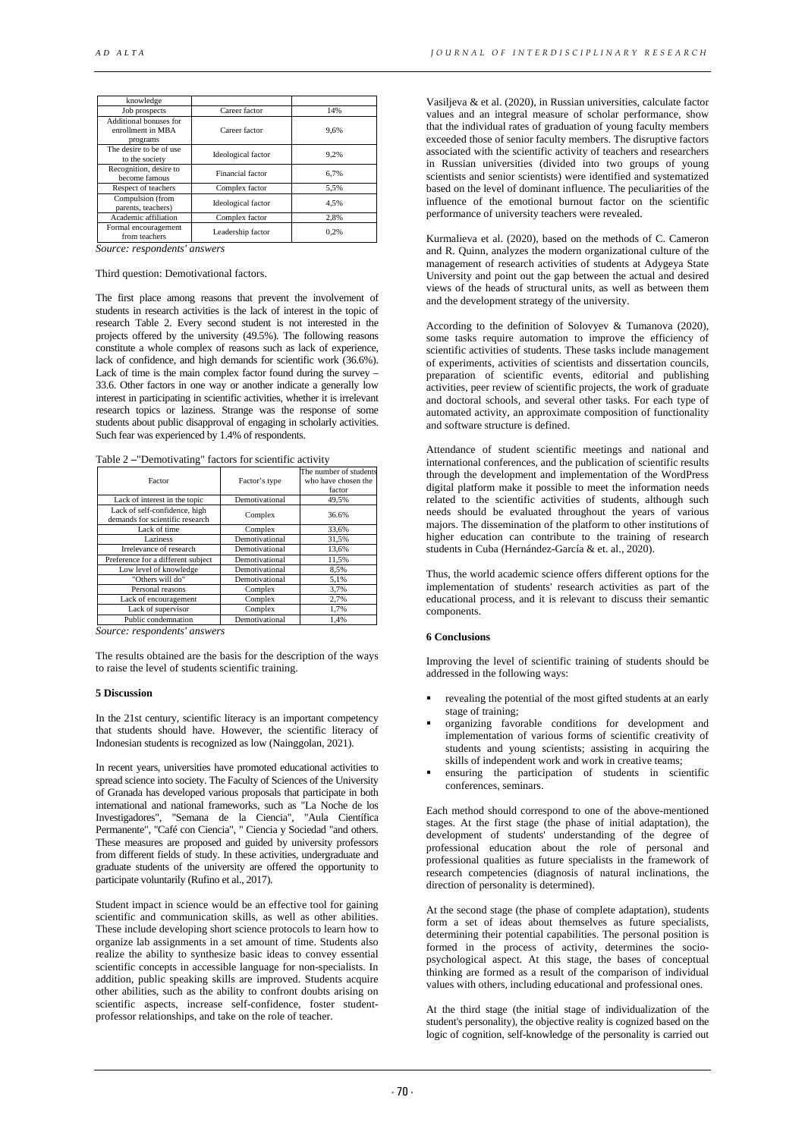| knowledge                                               |                    |      |
|---------------------------------------------------------|--------------------|------|
| Job prospects                                           | Career factor      | 14%  |
| Additional bonuses for<br>enrollment in MBA<br>programs | Career factor      | 9.6% |
| The desire to be of use.<br>to the society              | Ideological factor | 9.2% |
| Recognition, desire to<br>become famous                 | Financial factor   | 6.7% |
| Respect of teachers                                     | Complex factor     | 5,5% |
| Compulsion (from<br>parents, teachers)                  | Ideological factor | 4.5% |
| Academic affiliation                                    | Complex factor     | 2.8% |
| Formal encouragement<br>from teachers                   | Leadership factor  | 0.2% |

*Source: respondents' answers*

# Third question: Demotivational factors.

The first place among reasons that prevent the involvement of students in research activities is the lack of interest in the topic of research Table 2. Every second student is not interested in the projects offered by the university (49.5%). The following reasons constitute a whole complex of reasons such as lack of experience, lack of confidence, and high demands for scientific work (36.6%). Lack of time is the main complex factor found during the survey – 33.6. Other factors in one way or another indicate a generally low interest in participating in scientific activities, whether it is irrelevant research topics or laziness. Strange was the response of some students about public disapproval of engaging in scholarly activities. Such fear was experienced by 1.4% of respondents.

Table 2 **–**"Demotivating" factors for scientific activity

| Factor                                                           | Factor's type  | The number of students<br>who have chosen the<br>factor |
|------------------------------------------------------------------|----------------|---------------------------------------------------------|
| Lack of interest in the topic                                    | Demotivational | 49,5%                                                   |
| Lack of self-confidence, high<br>demands for scientific research | Complex        | 36.6%                                                   |
| Lack of time                                                     | Complex        | 33,6%                                                   |
| Laziness                                                         | Demotivational | 31,5%                                                   |
| Irrelevance of research                                          | Demotivational | 13,6%                                                   |
| Preference for a different subject                               | Demotivational | 11,5%                                                   |
| Low level of knowledge                                           | Demotivational | 8,5%                                                    |
| "Others will do"                                                 | Demotivational | 5,1%                                                    |
| Personal reasons                                                 | Complex        | 3,7%                                                    |
| Lack of encouragement                                            | Complex        | 2,7%                                                    |
| Lack of supervisor                                               | Complex        | 1,7%                                                    |
| Public condemnation                                              | Demotivational | 1,4%                                                    |
|                                                                  |                |                                                         |

*Source: respondents' answers*

The results obtained are the basis for the description of the ways to raise the level of students scientific training.

#### **5 Discussion**

In the 21st century, scientific literacy is an important competency that students should have. However, the scientific literacy of Indonesian students is recognized as low (Nainggolan, 2021).

In recent years, universities have promoted educational activities to spread science into society. The Faculty of Sciences of the University of Granada has developed various proposals that participate in both international and national frameworks, such as "La Noche de los Investigadores", "Semana de la Ciencia", "Aula Científica Permanente", "Café con Ciencia", " Ciencia y Sociedad "and others. These measures are proposed and guided by university professors from different fields of study. In these activities, undergraduate and graduate students of the university are offered the opportunity to participate voluntarily (Rufino et al., 2017).

Student impact in science would be an effective tool for gaining scientific and communication skills, as well as other abilities. These include developing short science protocols to learn how to organize lab assignments in a set amount of time. Students also realize the ability to synthesize basic ideas to convey essential scientific concepts in accessible language for non-specialists. In addition, public speaking skills are improved. Students acquire other abilities, such as the ability to confront doubts arising on scientific aspects, increase self-confidence, foster studentprofessor relationships, and take on the role of teacher.

Vasiljeva & et al. (2020), in Russian universities, calculate factor values and an integral measure of scholar performance, show that the individual rates of graduation of young faculty members exceeded those of senior faculty members. The disruptive factors associated with the scientific activity of teachers and researchers in Russian universities (divided into two groups of young scientists and senior scientists) were identified and systematized based on the level of dominant influence. The peculiarities of the influence of the emotional burnout factor on the scientific performance of university teachers were revealed.

Kurmalieva et al. (2020), based on the methods of C. Cameron and R. Quinn, analyzes the modern organizational culture of the management of research activities of students at Adygeya State University and point out the gap between the actual and desired views of the heads of structural units, as well as between them and the development strategy of the university.

According to the definition of Solovyev & Tumanova (2020), some tasks require automation to improve the efficiency of scientific activities of students. These tasks include management of experiments, activities of scientists and dissertation councils, preparation of scientific events, editorial and publishing activities, peer review of scientific projects, the work of graduate and doctoral schools, and several other tasks. For each type of automated activity, an approximate composition of functionality and software structure is defined.

Attendance of student scientific meetings and national and international conferences, and the publication of scientific results through the development and implementation of the WordPress digital platform make it possible to meet the information needs related to the scientific activities of students, although such needs should be evaluated throughout the years of various majors. The dissemination of the platform to other institutions of higher education can contribute to the training of research students in Cuba (Hernández-García & et. al., 2020).

Thus, the world academic science offers different options for the implementation of students' research activities as part of the educational process, and it is relevant to discuss their semantic components.

### **6 Conclusions**

Improving the level of scientific training of students should be addressed in the following ways:

- revealing the potential of the most gifted students at an early stage of training;
- organizing favorable conditions for development and implementation of various forms of scientific creativity of students and young scientists; assisting in acquiring the skills of independent work and work in creative teams;
- ensuring the participation of students in scientific conferences, seminars.

Each method should correspond to one of the above-mentioned stages. At the first stage (the phase of initial adaptation), the development of students' understanding of the degree of professional education about the role of personal and professional qualities as future specialists in the framework of research competencies (diagnosis of natural inclinations, the direction of personality is determined).

At the second stage (the phase of complete adaptation), students form a set of ideas about themselves as future specialists, determining their potential capabilities. The personal position is formed in the process of activity, determines the sociopsychological aspect. At this stage, the bases of conceptual thinking are formed as a result of the comparison of individual values with others, including educational and professional ones.

At the third stage (the initial stage of individualization of the student's personality), the objective reality is cognized based on the logic of cognition, self-knowledge of the personality is carried out